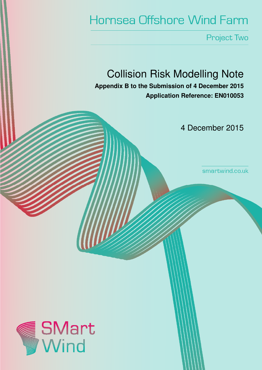# Hornsea Offshore Wind Farm

Project Two

# Collision Risk Modelling Note

**Appendix B to the Submission of 4 December 2015 Application Reference: EN010053**

4 December 2015

smartwind.co.uk

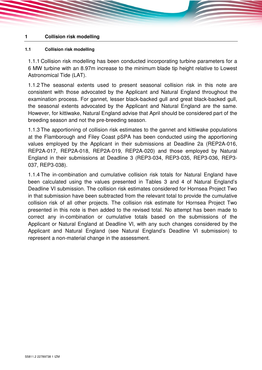#### **1 Collision risk modelling**

#### **1.1 Collision risk modelling**

1.1.1 Collision risk modelling has been conducted incorporating turbine parameters for a 6 MW turbine with an 8.97m increase to the minimum blade tip height relative to Lowest Astronomical Tide (LAT).

1.1.2 The seasonal extents used to present seasonal collision risk in this note are consistent with those advocated by the Applicant and Natural England throughout the examination process. For gannet, lesser black-backed gull and great black-backed gull, the seasonal extents advocated by the Applicant and Natural England are the same. However, for kittiwake, Natural England advise that April should be considered part of the breeding season and not the pre-breeding season.

1.1.3 The apportioning of collision risk estimates to the gannet and kittiwake populations at the Flamborough and Filey Coast pSPA has been conducted using the apportioning values employed by the Applicant in their submissions at Deadline 2a (REP2A-016, REP2A-017, REP2A-018, REP2A-019, REP2A-020) and those employed by Natural England in their submissions at Deadline 3 (REP3-034, REP3-035, REP3-036, REP3- 037, REP3-038).

1.1.4 The in-combination and cumulative collision risk totals for Natural England have been calculated using the values presented in Tables 3 and 4 of Natural England's Deadline VI submission. The collision risk estimates considered for Hornsea Project Two in that submission have been subtracted from the relevant total to provide the cumulative collision risk of all other projects. The collision risk estimate for Hornsea Project Two presented in this note is then added to the revised total. No attempt has been made to correct any in-combination or cumulative totals based on the submissions of the Applicant or Natural England at Deadline VI, with any such changes considered by the Applicant and Natural England (see Natural England's Deadline VI submission) to represent a non-material change in the assessment.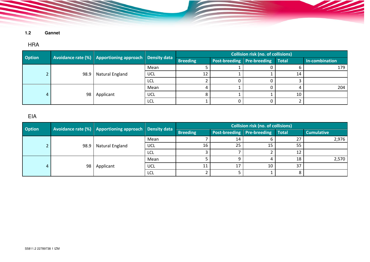**1.2 Gannet** 

#### HRA

| <b>Option</b> |      | Avoidance rate (%) Apportioning approach Density data |            | <b>Collision risk (no. of collisions)</b> |                                         |  |    |                |  |
|---------------|------|-------------------------------------------------------|------------|-------------------------------------------|-----------------------------------------|--|----|----------------|--|
|               |      |                                                       |            | <b>Breeding</b>                           | <b>Post-breeding Pre-breeding Total</b> |  |    | In-combination |  |
|               | 98.9 | Natural England                                       | Mean       |                                           |                                         |  |    | 179            |  |
|               |      |                                                       | <b>UCL</b> | 12                                        |                                         |  | 14 |                |  |
|               |      |                                                       | LCL        |                                           |                                         |  |    |                |  |
|               | 98   | Applicant                                             | Mean       |                                           |                                         |  |    | 204            |  |
|               |      |                                                       | UCL        |                                           |                                         |  | 10 |                |  |
|               |      |                                                       | LCL        |                                           |                                         |  |    |                |  |

1

<u>SSS of the state of the state of the state of the state of the state of the state of the state of the state of the state of the state of the state of the state of the state of the state of the state of the state of the st</u>

#### EIA

| <b>Option</b> |                 | Avoidance rate (%) Apportioning approach Density data |            |                 |                                         | <b>Collision risk (no. of collisions)</b> |     |                   |  |
|---------------|-----------------|-------------------------------------------------------|------------|-----------------|-----------------------------------------|-------------------------------------------|-----|-------------------|--|
|               |                 |                                                       |            | <b>Breeding</b> | <b>Post-breeding Pre-breeding Total</b> |                                           |     | <b>Cumulative</b> |  |
|               | 98.9            | Natural England                                       | Mean       |                 | 14                                      |                                           | ר ר | 2,976             |  |
|               |                 |                                                       | UCL        | 16              | 25                                      |                                           | 55  |                   |  |
|               |                 |                                                       | LCL        |                 |                                         |                                           | 12  |                   |  |
|               | 98 <sub>1</sub> | Applicant                                             | Mean       |                 |                                         |                                           | 18  | 2,570             |  |
|               |                 |                                                       | <b>UCL</b> | 11              |                                         | 10                                        | 37  |                   |  |
|               |                 |                                                       | LCL        |                 |                                         |                                           |     |                   |  |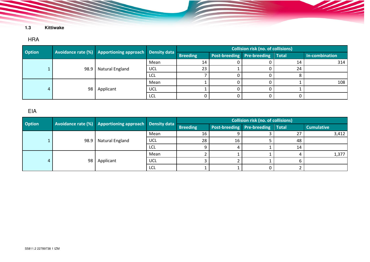#### HRA

| <b>Option</b> |      | Avoidance rate (%) Apportioning approach Density data |            | <b>Collision risk (no. of collisions)</b> |                                  |  |    |                |  |
|---------------|------|-------------------------------------------------------|------------|-------------------------------------------|----------------------------------|--|----|----------------|--|
|               |      |                                                       |            | <b>Breeding</b>                           | Post-breeding Pre-breeding Total |  |    | In-combination |  |
|               | 98.9 | Natural England                                       | Mean       | 14                                        |                                  |  | 14 | 314            |  |
|               |      |                                                       | <b>UCL</b> | 23                                        |                                  |  | 24 |                |  |
|               |      |                                                       | lcl        |                                           |                                  |  |    |                |  |
|               | 98   | Applicant                                             | Mean       |                                           |                                  |  |    | 108            |  |
|               |      |                                                       | UCL        |                                           |                                  |  |    |                |  |
|               |      |                                                       | LCL        |                                           |                                  |  |    |                |  |

<u>Santa Barat da Barat da Barat da Barat da Barat da Barat da Barat da Barat da Barat da Barat da Barat da Bara</u>

### EIA

| <b>Option</b> |      | Avoidance rate (%) Apportioning approach Density data |            | <b>Collision risk (no. of collisions)</b> |                                  |  |    |                   |  |
|---------------|------|-------------------------------------------------------|------------|-------------------------------------------|----------------------------------|--|----|-------------------|--|
|               |      |                                                       |            | <b>Breeding</b>                           | Post-breeding Pre-breeding Total |  |    | <b>Cumulative</b> |  |
|               | 98.9 | Natural England                                       | Mean       | 16                                        |                                  |  | 27 | 3,412             |  |
|               |      |                                                       | <b>UCL</b> | 28                                        | 16                               |  | 48 |                   |  |
|               |      |                                                       | LCL        |                                           |                                  |  | 14 |                   |  |
|               | 98   | Applicant                                             | Mean       |                                           |                                  |  |    | 1,377             |  |
|               |      |                                                       | <b>UCL</b> |                                           |                                  |  |    |                   |  |
|               |      |                                                       | <b>LCL</b> |                                           |                                  |  |    |                   |  |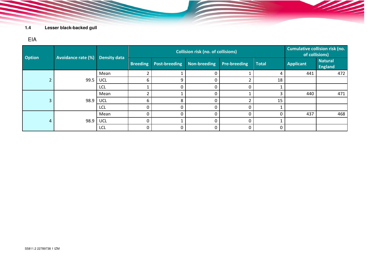# EIA

| <b>Option</b> | <b>Avoidance rate (%)</b> | <b>Density data</b> |                 | <b>Collision risk (no. of collisions)</b> | <b>Cumulative collision risk (no.</b><br>of collisions) |                     |              |                  |                                  |
|---------------|---------------------------|---------------------|-----------------|-------------------------------------------|---------------------------------------------------------|---------------------|--------------|------------------|----------------------------------|
|               |                           |                     | <b>Breeding</b> | <b>Post-breeding</b>                      | <b>Non-breeding</b>                                     | <b>Pre-breeding</b> | <b>Total</b> | <b>Applicant</b> | <b>Natural</b><br><b>England</b> |
|               |                           | Mean                |                 |                                           | 0                                                       |                     | 4            | 441              | 472                              |
|               | 99.5                      | <b>UCL</b>          | 6               | 9                                         | $\mathbf{0}$                                            |                     | 18           |                  |                                  |
|               |                           | <b>LCL</b>          |                 | $\Omega$                                  | 0                                                       |                     |              |                  |                                  |
|               | 98.9                      | Mean                |                 |                                           | $\mathbf{0}$                                            |                     |              | 440              | 471                              |
| 3             |                           | <b>UCL</b>          | 6               | 8                                         | $\mathbf{0}$                                            |                     | 15           |                  |                                  |
|               |                           | <b>LCL</b>          | 0               | $\Omega$                                  | $\Omega$                                                | 0                   |              |                  |                                  |
| 4             | 98.9                      | Mean                | 0               | $\Omega$                                  | 0                                                       | 0                   |              | 437              | 468                              |
|               |                           | <b>UCL</b>          | 0               |                                           | $\Omega$                                                | 0                   |              |                  |                                  |
|               |                           | <b>LCL</b>          | 0               | $\mathbf{0}$                              | 0                                                       | 0                   | 0            |                  |                                  |

<u> Sala</u>